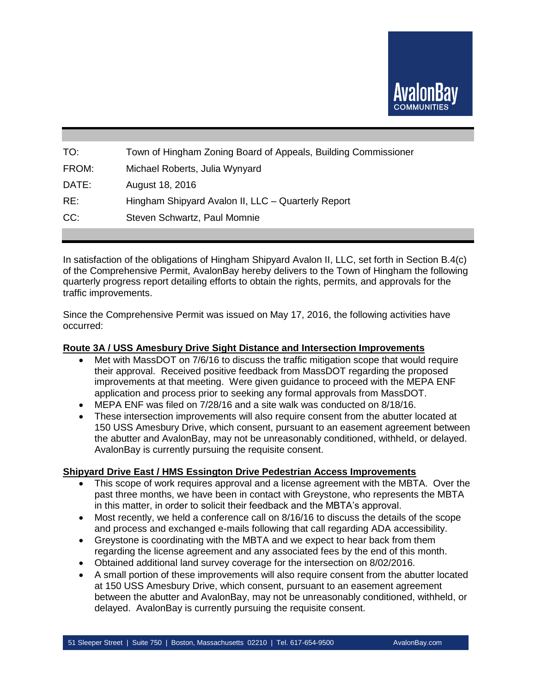

| TO:   | Town of Hingham Zoning Board of Appeals, Building Commissioner |
|-------|----------------------------------------------------------------|
| FROM: | Michael Roberts, Julia Wynyard                                 |
| DATE: | August 18, 2016                                                |
| RE:   | Hingham Shipyard Avalon II, LLC - Quarterly Report             |
| CC:   | Steven Schwartz, Paul Momnie                                   |
|       |                                                                |

In satisfaction of the obligations of Hingham Shipyard Avalon II, LLC, set forth in Section B.4(c) of the Comprehensive Permit, AvalonBay hereby delivers to the Town of Hingham the following quarterly progress report detailing efforts to obtain the rights, permits, and approvals for the traffic improvements.

Since the Comprehensive Permit was issued on May 17, 2016, the following activities have occurred:

#### **Route 3A / USS Amesbury Drive Sight Distance and Intersection Improvements**

- Met with MassDOT on 7/6/16 to discuss the traffic mitigation scope that would require their approval. Received positive feedback from MassDOT regarding the proposed improvements at that meeting. Were given guidance to proceed with the MEPA ENF application and process prior to seeking any formal approvals from MassDOT.
- MEPA ENF was filed on 7/28/16 and a site walk was conducted on 8/18/16.
- These intersection improvements will also require consent from the abutter located at 150 USS Amesbury Drive, which consent, pursuant to an easement agreement between the abutter and AvalonBay, may not be unreasonably conditioned, withheld, or delayed. AvalonBay is currently pursuing the requisite consent.

### **Shipyard Drive East / HMS Essington Drive Pedestrian Access Improvements**

- This scope of work requires approval and a license agreement with the MBTA. Over the past three months, we have been in contact with Greystone, who represents the MBTA in this matter, in order to solicit their feedback and the MBTA's approval.
- Most recently, we held a conference call on 8/16/16 to discuss the details of the scope and process and exchanged e-mails following that call regarding ADA accessibility.
- Greystone is coordinating with the MBTA and we expect to hear back from them regarding the license agreement and any associated fees by the end of this month.
- Obtained additional land survey coverage for the intersection on 8/02/2016.
- A small portion of these improvements will also require consent from the abutter located at 150 USS Amesbury Drive, which consent, pursuant to an easement agreement between the abutter and AvalonBay, may not be unreasonably conditioned, withheld, or delayed. AvalonBay is currently pursuing the requisite consent.